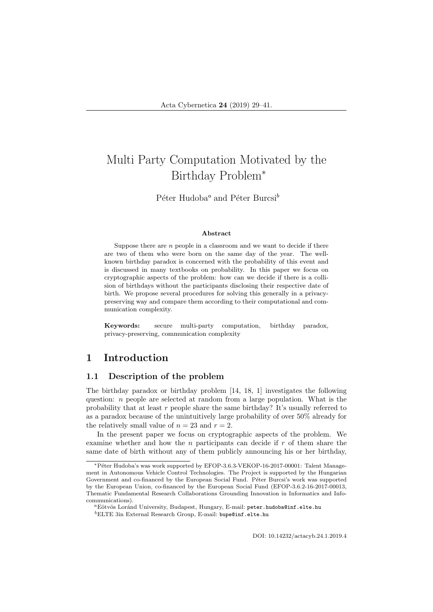# Multi Party Computation Motivated by the Birthday Problem<sup>∗</sup>

Péter Hudoba<sup>a</sup> and Péter Burcsi<sup>b</sup>

#### Abstract

Suppose there are  $n$  people in a classroom and we want to decide if there are two of them who were born on the same day of the year. The wellknown birthday paradox is concerned with the probability of this event and is discussed in many textbooks on probability. In this paper we focus on cryptographic aspects of the problem: how can we decide if there is a collision of birthdays without the participants disclosing their respective date of birth. We propose several procedures for solving this generally in a privacypreserving way and compare them according to their computational and communication complexity.

Keywords: secure multi-party computation, birthday paradox, privacy-preserving, communication complexity

# 1 Introduction

### 1.1 Description of the problem

The birthday paradox or birthday problem [14, 18, 1] investigates the following question: n people are selected at random from a large population. What is the probability that at least  $r$  people share the same birthday? It's usually referred to as a paradox because of the unintuitively large probability of over 50% already for the relatively small value of  $n = 23$  and  $r = 2$ .

In the present paper we focus on cryptographic aspects of the problem. We examine whether and how the n participants can decide if  $r$  of them share the same date of birth without any of them publicly announcing his or her birthday,

<sup>∗</sup>P´eter Hudoba's was work supported by EFOP-3.6.3-VEKOP-16-2017-00001: Talent Management in Autonomous Vehicle Control Technologies. The Project is supported by the Hungarian Government and co-financed by the European Social Fund. Péter Burcsi's work was supported by the European Union, co-financed by the European Social Fund (EFOP-3.6.2-16-2017-00013, Thematic Fundamental Research Collaborations Grounding Innovation in Informatics and Infocommunications).

<sup>&</sup>lt;sup>a</sup>Eötvös Loránd University, Budapest, Hungary, E-mail: peter.hudoba@inf.elte.hu <sup>b</sup>ELTE 3in External Research Group, E-mail: bupe@inf.elte.hu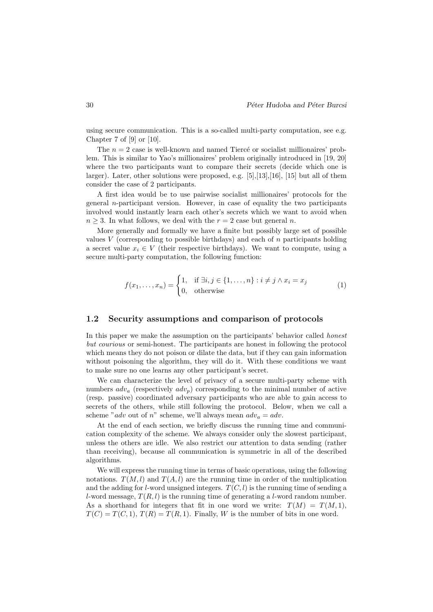using secure communication. This is a so-called multi-party computation, see e.g. Chapter 7 of  $[9]$  or  $[10]$ .

The  $n = 2$  case is well-known and named Tiercé or socialist millionaires' problem. This is similar to Yao's millionaires' problem originally introduced in [19, 20] where the two participants want to compare their secrets (decide which one is larger). Later, other solutions were proposed, e.g. [5],[13],[16], [15] but all of them consider the case of 2 participants.

A first idea would be to use pairwise socialist millionaires' protocols for the general n-participant version. However, in case of equality the two participants involved would instantly learn each other's secrets which we want to avoid when  $n \geq 3$ . In what follows, we deal with the  $r = 2$  case but general n.

More generally and formally we have a finite but possibly large set of possible values V (corresponding to possible birthdays) and each of  $n$  participants holding a secret value  $x_i \in V$  (their respective birthdays). We want to compute, using a secure multi-party computation, the following function:

$$
f(x_1, \dots, x_n) = \begin{cases} 1, & \text{if } \exists i, j \in \{1, \dots, n\} : i \neq j \land x_i = x_j \\ 0, & \text{otherwise} \end{cases} \tag{1}
$$

#### 1.2 Security assumptions and comparison of protocols

In this paper we make the assumption on the participants' behavior called honest but courious or semi-honest. The participants are honest in following the protocol which means they do not poison or dilate the data, but if they can gain information without poisoning the algorithm, they will do it. With these conditions we want to make sure no one learns any other participant's secret.

We can characterize the level of privacy of a secure multi-party scheme with numbers  $adv_a$  (respectively  $adv_a$ ) corresponding to the minimal number of active (resp. passive) coordinated adversary participants who are able to gain access to secrets of the others, while still following the protocol. Below, when we call a scheme "adv out of n" scheme, we'll always mean  $adv_a = adv$ .

At the end of each section, we briefly discuss the running time and communication complexity of the scheme. We always consider only the slowest participant, unless the others are idle. We also restrict our attention to data sending (rather than receiving), because all communication is symmetric in all of the described algorithms.

We will express the running time in terms of basic operations, using the following notations.  $T(M, l)$  and  $T(A, l)$  are the running time in order of the multiplication and the adding for *l*-word unsigned integers.  $T(C, l)$  is the running time of sending a l-word message,  $T(R, l)$  is the running time of generating a l-word random number. As a shorthand for integers that fit in one word we write:  $T(M) = T(M, 1)$ ,  $T(C) = T(C, 1), T(R) = T(R, 1).$  Finally, W is the number of bits in one word.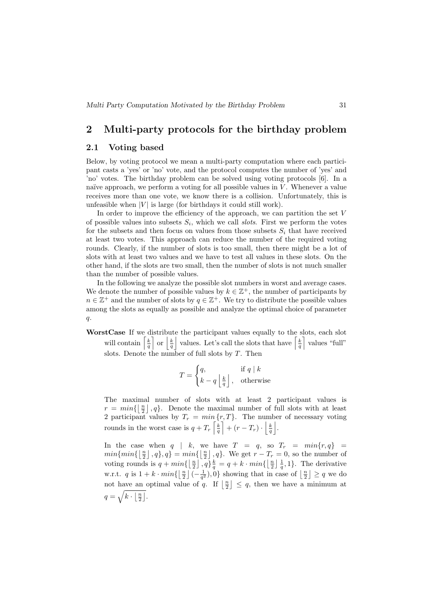## 2 Multi-party protocols for the birthday problem

## 2.1 Voting based

Below, by voting protocol we mean a multi-party computation where each participant casts a 'yes' or 'no' vote, and the protocol computes the number of 'yes' and 'no' votes. The birthday problem can be solved using voting protocols [6]. In a naïve approach, we perform a voting for all possible values in  $V$ . Whenever a value receives more than one vote, we know there is a collision. Unfortunately, this is unfeasible when  $|V|$  is large (for birthdays it could still work).

In order to improve the efficiency of the approach, we can partition the set V of possible values into subsets  $S_i$ , which we call *slots*. First we perform the votes for the subsets and then focus on values from those subsets  $S_i$  that have received at least two votes. This approach can reduce the number of the required voting rounds. Clearly, if the number of slots is too small, then there might be a lot of slots with at least two values and we have to test all values in these slots. On the other hand, if the slots are two small, then the number of slots is not much smaller than the number of possible values.

In the following we analyze the possible slot numbers in worst and average cases. We denote the number of possible values by  $k \in \mathbb{Z}^+$ , the number of participants by  $n \in \mathbb{Z}^+$  and the number of slots by  $q \in \mathbb{Z}^+$ . We try to distribute the possible values among the slots as equally as possible and analyze the optimal choice of parameter  $\mathfrak{a}.$ 

WorstCase If we distribute the participant values equally to the slots, each slot will contain  $\left[\frac{k}{q}\right]$  or  $\left|\frac{k}{q}\right|$  values. Let's call the slots that have  $\left[\frac{k}{q}\right]$  values "full" slots. Denote the number of full slots by  $T$ . Then

$$
T = \begin{cases} q, & \text{if } q \mid k \\ k - q \left\lfloor \frac{k}{q} \right\rfloor, & \text{otherwise} \end{cases}
$$

The maximal number of slots with at least 2 participant values is  $r = min\{\lfloor \frac{n}{2} \rfloor, q\}.$  Denote the maximal number of full slots with at least 2 participant values by  $T_r = min\{r, T\}$ . The number of necessary voting rounds in the worst case is  $q + T_r\left[\frac{k}{q}\right] + (r - T_r) \cdot \left|\frac{k}{q}\right|$ .

In the case when  $q \mid k$ , we have  $T = q$ , so  $T_r = min\{r, q\}$  $min\{min\{\lfloor \frac{n}{2} \rfloor, q\}, q\} = min\{\lfloor \frac{n}{2} \rfloor, q\}.$  We get  $r - T_r = 0$ , so the number of voting rounds is  $q + min\{\lfloor \frac{n}{2} \rfloor, q\} \frac{k}{q} = q + k \cdot min\{\lfloor \frac{n}{2} \rfloor \frac{1}{q}, 1\}$ . The derivative w.r.t. q is  $1 + k \cdot min\{\left\lfloor \frac{n}{2} \right\rfloor \left( -\frac{1}{q^2} \right), 0\}$  showing that in case of  $\left\lfloor \frac{n}{2} \right\rfloor \ge q$  we do not have an optimal value of q. If  $\lfloor \frac{n}{2} \rfloor \leq q$ , then we have a minimum at  $q=\sqrt{k\cdot\left\lfloor\frac{n}{2}\right\rfloor}$ .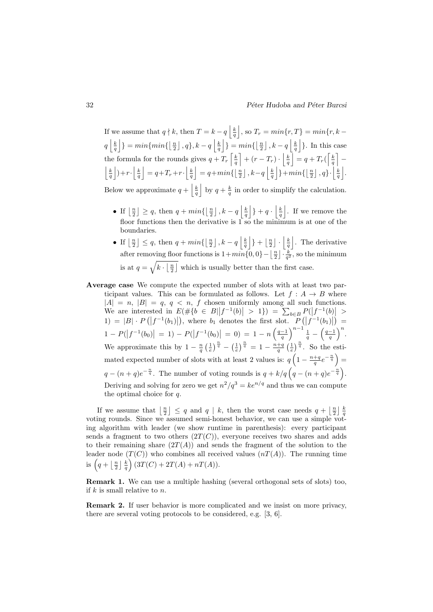If we assume that  $q \nmid k$ , then  $T = k - q \left\lfloor \frac{k}{q} \right\rfloor$ , so  $T_r = min\{r, T\} = min\{r, k - 1\}$  $q\left\lfloor \frac{k}{q}\right\rfloor$  =  $min\{min\{\lfloor \frac{n}{2}\rfloor, q\}, k-q \left\lfloor \frac{k}{q}\right\rfloor\}$  =  $min\{\lfloor \frac{n}{2}\rfloor, k-q \left\lfloor \frac{k}{q}\right\rfloor\}$ . In this case the formula for the rounds gives  $q + T_r \left[ \frac{k}{q} \right] + (r - T_r) \cdot \left[ \frac{k}{q} \right] = q + T_r \left( \left[ \frac{k}{q} \right] \left|\frac{k}{q}\right|$  + r ·  $\left|\frac{k}{q}\right| = q + T_r + r$  ·  $\left|\frac{k}{q}\right| = q + min\left\{\left\lfloor \frac{n}{2} \right\rfloor, k-q \right\}$   $\left|\frac{k}{q}\right|$  +  $min\left\{\left\lfloor \frac{n}{2} \right\rfloor, q\right\}$  ·  $\left|\frac{k}{q}\right|$ . Below we approximate  $q + \left\lfloor \frac{k}{q} \right\rfloor$  by  $q + \frac{k}{q}$  in order to simplify the calculation.

- If  $\lfloor \frac{n}{2} \rfloor \geq q$ , then  $q + min\{\lfloor \frac{n}{2} \rfloor, k q \lfloor \frac{k}{q} \rfloor \} + q \cdot \lfloor \frac{k}{q} \rfloor$ . If we remove the floor functions then the derivative is 1 so the minimum is at one of the boundaries.
- If  $\lfloor \frac{n}{2} \rfloor \leq q$ , then  $q + min\{\lfloor \frac{n}{2} \rfloor, k q \lfloor \frac{k}{q} \rfloor\} + \lfloor \frac{n}{2} \rfloor \cdot \lfloor \frac{k}{q} \rfloor$ . The derivative after removing floor functions is  $1+min\{0,0\}-\left\lfloor \frac{n}{2} \right\rfloor \cdot \frac{k}{q^2}$ , so the minimum is at  $q = \sqrt{k \cdot \lfloor \frac{n}{2} \rfloor}$  which is usually better than the first case.
- Average case We compute the expected number of slots with at least two participant values. This can be formulated as follows. Let  $f : A \rightarrow B$  where  $|A| = n$ ,  $|B| = q$ ,  $q < n$ , f chosen uniformly among all such functions. We are interested in  $E(\#\{b \in B | |f^{-1}(b)| > 1\}) = \sum_{b \in B} P(|f^{-1}(b)| > 1)$ 1) = |B| ·  $P(|f^{-1}(b_1)|)$ , where  $b_1$  denotes the first slot.  $P(|f^{-1}(b_1)|)$  =  $1 - P(|f^{-1}(b_0)| = 1) - P(|f^{-1}(b_0)| = 0) = 1 - n \left(\frac{q-1}{q}\right)^{n-1} \frac{1}{q} - \left(\frac{q-1}{q}\right)^n$ . We approximate this by  $1 - \frac{n}{q} \left(\frac{1}{e}\right)^{\frac{n}{q}} - \left(\frac{1}{e}\right)^{\frac{n}{q}} = 1 - \frac{n+q}{q} \left(\frac{1}{e}\right)^{\frac{n}{q}}$ . So the estimated expected number of slots with at least 2 values is:  $q\left(1-\frac{n+q}{q}e^{-\frac{n}{q}}\right)$  $q - (n+q)e^{-\frac{n}{q}}$ . The number of voting rounds is  $q + k/q \left(q - (n+q)e^{-\frac{n}{q}}\right)$ . Deriving and solving for zero we get  $n^2/q^3 = ke^{n/q}$  and thus we can compute the optimal choice for q.

If we assume that  $\left\lfloor \frac{n}{2} \right\rfloor \leq q$  and  $q \mid k$ , then the worst case needs  $q + \left\lfloor \frac{n}{2} \right\rfloor \frac{k}{q}$ voting rounds. Since we assumed semi-honest behavior, we can use a simple voting algorithm with leader (we show runtime in parenthesis): every participant sends a fragment to two others  $(2T(C))$ , everyone receives two shares and adds to their remaining share  $(2T(A))$  and sends the fragment of the solution to the leader node  $(T(C))$  who combines all received values  $(nT(A))$ . The running time is  $\left(q + \left\lfloor \frac{n}{2} \right\rfloor \frac{k}{q}\right) (3T(C) + 2T(A) + nT(A)).$ 

Remark 1. We can use a multiple hashing (several orthogonal sets of slots) too, if  $k$  is small relative to  $n$ .

Remark 2. If user behavior is more complicated and we insist on more privacy, there are several voting protocols to be considered, e.g. [3, 6].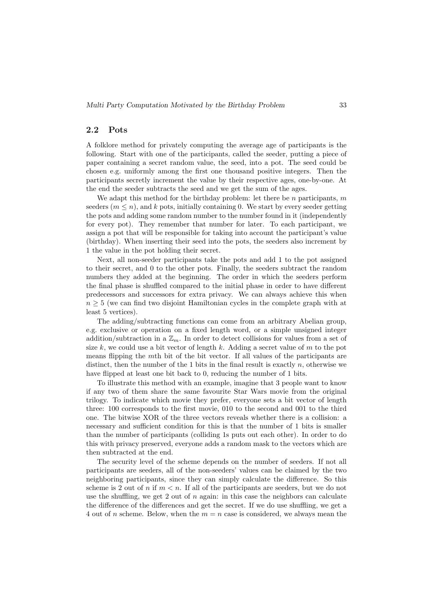#### 2.2 Pots

A folklore method for privately computing the average age of participants is the following. Start with one of the participants, called the seeder, putting a piece of paper containing a secret random value, the seed, into a pot. The seed could be chosen e.g. uniformly among the first one thousand positive integers. Then the participants secretly increment the value by their respective ages, one-by-one. At the end the seeder subtracts the seed and we get the sum of the ages.

We adapt this method for the birthday problem: let there be  $n$  participants, m seeders  $(m \leq n)$ , and k pots, initially containing 0. We start by every seeder getting the pots and adding some random number to the number found in it (independently for every pot). They remember that number for later. To each participant, we assign a pot that will be responsible for taking into account the participant's value (birthday). When inserting their seed into the pots, the seeders also increment by 1 the value in the pot holding their secret.

Next, all non-seeder participants take the pots and add 1 to the pot assigned to their secret, and 0 to the other pots. Finally, the seeders subtract the random numbers they added at the beginning. The order in which the seeders perform the final phase is shuffled compared to the initial phase in order to have different predecessors and successors for extra privacy. We can always achieve this when  $n \geq 5$  (we can find two disjoint Hamiltonian cycles in the complete graph with at least 5 vertices).

The adding/subtracting functions can come from an arbitrary Abelian group, e.g. exclusive or operation on a fixed length word, or a simple unsigned integer addition/subtraction in a  $\mathbb{Z}_m$ . In order to detect collisions for values from a set of size k, we could use a bit vector of length k. Adding a secret value of  $m$  to the pot means flipping the mth bit of the bit vector. If all values of the participants are distinct, then the number of the 1 bits in the final result is exactly  $n$ , otherwise we have flipped at least one bit back to 0, reducing the number of 1 bits.

To illustrate this method with an example, imagine that 3 people want to know if any two of them share the same favourite Star Wars movie from the original trilogy. To indicate which movie they prefer, everyone sets a bit vector of length three: 100 corresponds to the first movie, 010 to the second and 001 to the third one. The bitwise XOR of the three vectors reveals whether there is a collision: a necessary and sufficient condition for this is that the number of 1 bits is smaller than the number of participants (colliding 1s puts out each other). In order to do this with privacy preserved, everyone adds a random mask to the vectors which are then subtracted at the end.

The security level of the scheme depends on the number of seeders. If not all participants are seeders, all of the non-seeders' values can be claimed by the two neighboring participants, since they can simply calculate the difference. So this scheme is 2 out of *n* if  $m < n$ . If all of the participants are seeders, but we do not use the shuffling, we get 2 out of  $n$  again: in this case the neighbors can calculate the difference of the differences and get the secret. If we do use shuffling, we get a 4 out of n scheme. Below, when the  $m = n$  case is considered, we always mean the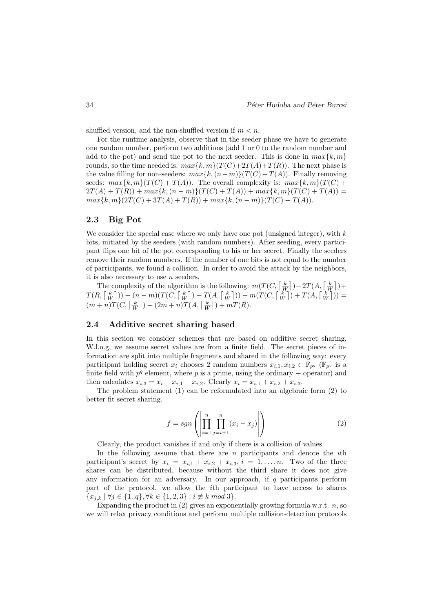shuffled version, and the non-shuffled version if  $m < n$ .

For the runtime analysis, observe that in the seeder phase we have to generate one random number, perform two additions (add 1 or 0 to the random number and add to the pot) and send the pot to the next seeder. This is done in  $max\{k, m\}$ rounds, so the time needed is:  $max\{k, m\}(T(C)+2T(A)+T(R))$ . The next phase is the value filling for non-seeders:  $max\{k,(n-m)\}(T(C) + T(A))$ . Finally removing seeds:  $max\{k, m\}(T(C) + T(A))$ . The overall complexity is:  $max\{k, m\}(T(C) +$  $2T(A) + T(R) + max\{k,(n-m)\}(T(C) + T(A)) + max\{k,m\}(T(C) + T(A)) =$  $max\{k, m\}(2T(C) + 3T(A) + T(R)) + max\{k, (n - m)\}(T(C) + T(A)).$ 

## 2.3 Big Pot

We consider the special case where we only have one pot (unsigned integer), with  $k$ bits, initiated by the seeders (with random numbers). After seeding, every participant flips one bit of the pot corresponding to his or her secret. Finally the seeders remove their random numbers. If the number of one bits is not equal to the number of participants, we found a collision. In order to avoid the attack by the neighbors, it is also necessary to use  $n$  seeders.

The complexity of the algorithm is the following:  $m(T(C, \lceil \frac{k}{W} \rceil) + 2T(A, \lceil \frac{k}{W} \rceil) +$  $T(R, \lceil \frac{k}{W} \rceil)) + (n-m)(T(C, \lceil \frac{k}{W} \rceil) + T(A, \lceil \frac{k}{W} \rceil)) + m(T(C, \lceil \frac{k}{W} \rceil) + T(A, \lceil \frac{k}{W} \rceil)) =$  $(m+n)T(C, \lceil \frac{k}{W} \rceil) + (2m+n)T(A, \lceil \frac{k}{W} \rceil) + mT(R).$ 

#### 2.4 Additive secret sharing based

In this section we consider schemes that are based on additive secret sharing. W.l.o.g, we assume secret values are from a finite field. The secret pieces of information are split into multiple fragments and shared in the following way: every participant holding secret  $x_i$  chooses 2 random numbers  $x_{i,1}, x_{i,2} \in \mathbb{F}_{p^q}$  ( $\mathbb{F}_{p^q}$  is a finite field with  $p<sup>q</sup>$  element, where p is a prime, using the ordinary + operator) and then calculates  $x_{i,3} = x_i - x_{i,1} - x_{i,2}$ . Clearly  $x_i = x_{i,1} + x_{i,2} + x_{i,3}$ .

The problem statement (1) can be reformulated into an algebraic form (2) to better fit secret sharing.

$$
f = sgn\left(\left|\prod_{i=1}^{n} \prod_{j=i+1}^{n} (x_i - x_j)\right|\right) \tag{2}
$$

Clearly, the product vanishes if and only if there is a collision of values.

In the following assume that there are  $n$  participants and denote the *i*th participant's secret by  $x_i = x_{i,1} + x_{i,2} + x_{i,3}$ ,  $i = 1, \ldots, n$ . Two of the three shares can be distributed, because without the third share it does not give any information for an adversary. In our approach, if  $q$  participants perform part of the protocol, we allow the ith participant to have access to shares  ${x_{i,k} | \forall j \in \{1..q\}, \forall k \in \{1,2,3\} : i \not\equiv k \mod 3\}.$ 

Expanding the product in  $(2)$  gives an exponentially growing formula w.r.t.  $n$ , so we will relax privacy conditions and perform multiple collision-detection protocols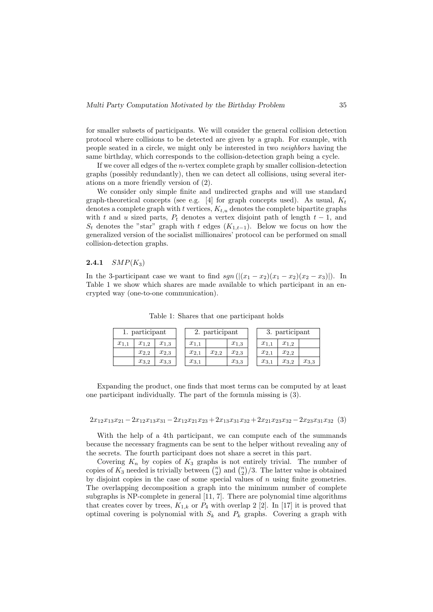for smaller subsets of participants. We will consider the general collision detection protocol where collisions to be detected are given by a graph. For example, with people seated in a circle, we might only be interested in two neighbors having the same birthday, which corresponds to the collision-detection graph being a cycle.

If we cover all edges of the  $n$ -vertex complete graph by smaller collision-detection graphs (possibly redundantly), then we can detect all collisions, using several iterations on a more friendly version of (2).

We consider only simple finite and undirected graphs and will use standard graph-theoretical concepts (see e.g. [4] for graph concepts used). As usual,  $K_t$ denotes a complete graph with t vertices,  $K_{t,u}$  denotes the complete bipartite graphs with t and u sized parts,  $P_t$  denotes a vertex disjoint path of length  $t-1$ , and  $S_t$  denotes the "star" graph with t edges  $(K_{1,t-1})$ . Below we focus on how the generalized version of the socialist millionaires' protocol can be performed on small collision-detection graphs.

#### **2.4.1**  $SMP(K_3)$

In the 3-participant case we want to find  $sgn((x_1 - x_2)(x_1 - x_2)(x_2 - x_3))$ . In Table 1 we show which shares are made available to which participant in an encrypted way (one-to-one communication).

| 1. participant |           |           | 2. participant |           |           | 3. participant |           |           |
|----------------|-----------|-----------|----------------|-----------|-----------|----------------|-----------|-----------|
| $x_{1,1}$      | $x_{1,2}$ | $x_{1,3}$ | $x_{1,1}$      |           | $x_{1,3}$ | $x_{1,1}$      | $x_{1,2}$ |           |
|                | $x_{2,2}$ | $x_{2,3}$ | $x_{2,1}$      | $x_{2,2}$ | $x_{2,3}$ | $x_{2,1}$      | $x_{2,2}$ |           |
|                | $x_{3,2}$ | $x_{3,3}$ | $x_{3,1}$      |           | $x_{3,3}$ | $x_{3,1}$      | $x_{3,2}$ | $x_{3,3}$ |

Table 1: Shares that one participant holds

Expanding the product, one finds that most terms can be computed by at least one participant individually. The part of the formula missing is (3).

$$
2x_{12}x_{13}x_{21} - 2x_{12}x_{13}x_{31} - 2x_{12}x_{21}x_{23} + 2x_{13}x_{31}x_{32} + 2x_{21}x_{23}x_{32} - 2x_{23}x_{31}x_{32} \tag{3}
$$

With the help of a 4th participant, we can compute each of the summands because the necessary fragments can be sent to the helper without revealing any of the secrets. The fourth participant does not share a secret in this part.

Covering  $K_n$  by copies of  $K_3$  graphs is not entirely trivial. The number of copies of  $K_3$  needed is trivially between  $\binom{n}{2}$  and  $\binom{n}{2}/3$ . The latter value is obtained by disjoint copies in the case of some special values of  $n$  using finite geometries. The overlapping decomposition a graph into the minimum number of complete subgraphs is NP-complete in general [11, 7]. There are polynomial time algorithms that creates cover by trees,  $K_{1,k}$  or  $P_4$  with overlap 2 [2]. In [17] it is proved that optimal covering is polynomial with  $S_k$  and  $P_k$  graphs. Covering a graph with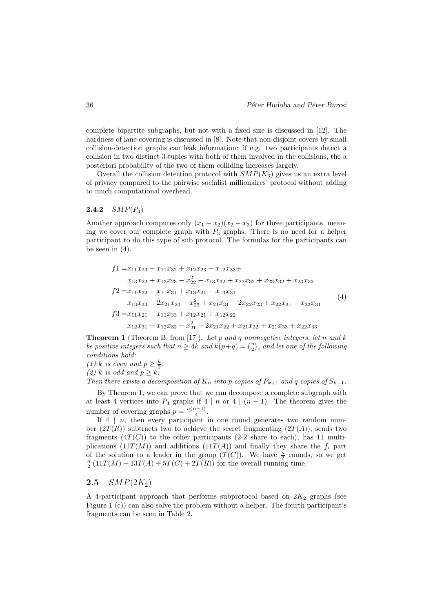complete bipartite subgraphs, but not with a fixed size is discussed in [12]. The hardness of lane covering is discussed in [8]. Note that non-disjoint covers by small collision-detection graphs can leak information: if e.g. two participants detect a collision in two distinct 3-tuples with both of them involved in the collisions, the a posteriori probability of the two of them colliding increases largely.

Overall the collision detection protocol with  $SMP(K_3)$  gives us an extra level of privacy compared to the pairwise socialist millionaires' protocol without adding to much computational overhead.

#### **2.4.2**  $SMP(P_3)$

Another approach computes only  $(x_1 - x_2)(x_2 - x_3)$  for three participants, meaning we cover our complete graph with  $P_3$  graphs. There is no need for a helper participant to do this type of sub protocol. The formulas for the participants can be seen in  $(4)$ .

$$
f1 = x_{11}x_{23} - x_{11}x_{32} + x_{12}x_{23} - x_{12}x_{33} +
$$
  
\n
$$
x_{13}x_{22} + x_{13}x_{23} - x_{22}^2 - x_{13}x_{32} + x_{22}x_{32} + x_{23}x_{32} + x_{23}x_{33}
$$
  
\n
$$
f2 = x_{11}x_{22} - x_{11}x_{31} + x_{13}x_{21} - x_{13}x_{31} -
$$
  
\n
$$
x_{13}x_{33} - 2x_{21}x_{23} - x_{23}^2 + x_{21}x_{31} - 2x_{22}x_{23} + x_{22}x_{31} + x_{23}x_{31}
$$
  
\n
$$
f3 = x_{11}x_{21} - x_{11}x_{33} + x_{12}x_{21} + x_{12}x_{22} -
$$
  
\n
$$
x_{12}x_{31} - x_{12}x_{32} - x_{21}^2 - 2x_{21}x_{22} + x_{21}x_{32} + x_{21}x_{33} + x_{22}x_{33}
$$
  
\n(4)

**Theorem 1** (Theorem B. from [17]). Let p and q nonnegative integers, let n and k be positive integers such that  $n \geq 4k$  and  $k(p+q) = {n \choose 2}$ , and let one of the following conditions hold:

(1) k is even and  $p \geq \frac{k}{2}$ ,

(2) k is odd and 
$$
p \geq k
$$
.

Then there exists a decomposition of  $K_n$  into p copies of  $P_{k+1}$  and q copies of  $S_{k+1}$ .

By Theorem 1, we can prove that we can decompose a complete subgraph with at least 4 vertices into  $P_3$  graphs if 4 | n or 4 |  $(n-1)$ . The theorem gives the number of covering graphs  $p = \frac{n(n-1)}{4}$  $\frac{i-1j}{4}$ .

If  $4 \mid n$ , then every participant in one round generates two random number  $(2T(R))$  subtracts two to achieve the secret fragmenting  $(2T(A))$ , sends two fragments  $(4T(C))$  to the other participants  $(2-2)$  share to each), has 11 multiplications  $(11T(M))$  and additions  $(11T(A))$  and finally they share the  $f_i$  part of the solution to a leader in the group  $(T(C))$ . We have  $\frac{n}{2}$  rounds, so we get  $\frac{n}{2}$  (11T(M) + 13T(A) + 5T(C) + 2T(R)) for the overall running time.

## 2.5  $SMP(2K_2)$

A 4-participant approach that performs subprotocol based on  $2K_2$  graphs (see Figure 1 (c)) can also solve the problem without a helper. The fourth participant's fragments can be seen in Table 2.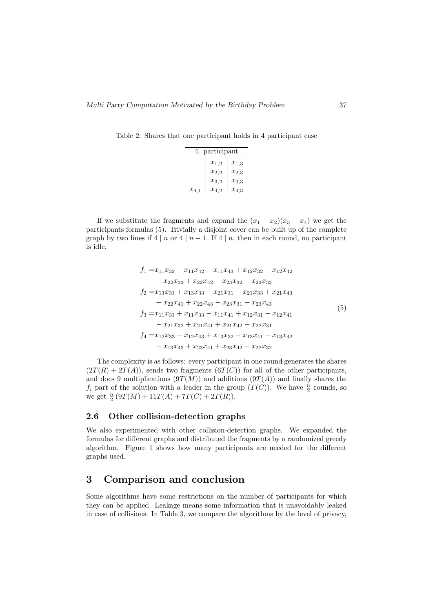Table 2: Shares that one participant holds in 4 participant case

| participant<br>4. |           |           |  |  |  |
|-------------------|-----------|-----------|--|--|--|
|                   | $x_{1,2}$ | $x_{1,3}$ |  |  |  |
|                   | $x_{2,2}$ | $x_{2,3}$ |  |  |  |
|                   | $x_{3,2}$ | $x_{3,3}$ |  |  |  |
| $x_{4,1}$         | $x_{4,2}$ | $x_{4,3}$ |  |  |  |

If we substitute the fragments and expand the  $(x_1 - x_2)(x_3 - x_4)$  we get the participants formulas (5). Trivially a disjoint cover can be built up of the complete graph by two lines if  $4 \mid n \text{ or } 4 \mid n-1$ . If  $4 \mid n$ , then in each round, no participant is idle.

$$
f_1 = x_{11}x_{32} - x_{11}x_{42} - x_{11}x_{43} + x_{12}x_{32} - x_{12}x_{42}
$$
  
\n
$$
- x_{22}x_{33} + x_{22}x_{42} - x_{23}x_{32} - x_{23}x_{33}
$$
  
\n
$$
f_2 = x_{13}x_{31} + x_{13}x_{33} - x_{21}x_{31} - x_{21}x_{33} + x_{21}x_{43}
$$
  
\n
$$
+ x_{22}x_{41} + x_{22}x_{43} - x_{23}x_{31} + x_{23}x_{43}
$$
  
\n
$$
f_3 = x_{11}x_{31} + x_{11}x_{33} - x_{11}x_{41} + x_{12}x_{31} - x_{12}x_{41}
$$
  
\n
$$
- x_{21}x_{32} + x_{21}x_{41} + x_{21}x_{42} - x_{22}x_{31}
$$
  
\n
$$
f_4 = x_{12}x_{33} - x_{12}x_{43} + x_{13}x_{32} - x_{13}x_{41} - x_{13}x_{42}
$$
  
\n
$$
- x_{13}x_{43} + x_{23}x_{41} + x_{23}x_{42} - x_{22}x_{32}
$$

The complexity is as follows: every participant in one round generates the shares  $(2T(R) + 2T(A))$ , sends two fragments  $(6T(C))$  for all of the other participants, and does 9 multiplications  $(9T(M))$  and additions  $(9T(A))$  and finally shares the  $f_i$  part of the solution with a leader in the group  $(T(C))$ . We have  $\frac{n}{2}$  rounds, so we get  $\frac{n}{2}$   $(9T(M) + 11T(A) + 7T(C) + 2T(R)).$ 

#### 2.6 Other collision-detection graphs

We also experimented with other collision-detection graphs. We expanded the formulas for different graphs and distributed the fragments by a randomized greedy algorithm. Figure 1 shows how many participants are needed for the different graphs used.

## 3 Comparison and conclusion

Some algorithms have some restrictions on the number of participants for which they can be applied. Leakage means some information that is unavoidably leaked in case of collisions. In Table 3, we compare the algorithms by the level of privacy,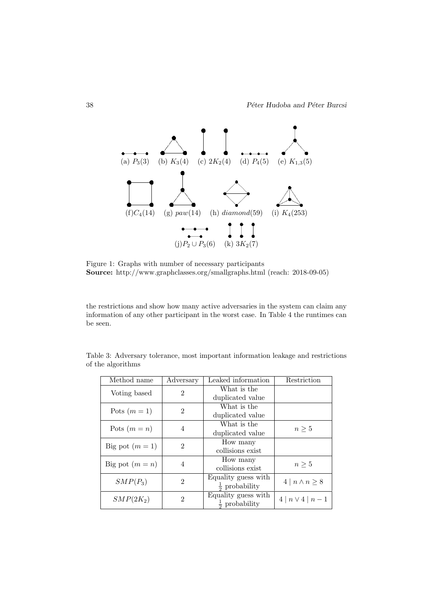

Figure 1: Graphs with number of necessary participants Source: http://www.graphclasses.org/smallgraphs.html (reach: 2018-09-05)

the restrictions and show how many active adversaries in the system can claim any information of any other participant in the worst case. In Table 4 the runtimes can be seen.

Table 3: Adversary tolerance, most important information leakage and restrictions of the algorithms

| Method name       | Adversary      | Leaked information      | Restriction                |  |
|-------------------|----------------|-------------------------|----------------------------|--|
| Voting based      | $\overline{2}$ | What is the             |                            |  |
|                   |                | duplicated value        |                            |  |
| Pots $(m=1)$      | $\overline{2}$ | What is the             |                            |  |
|                   |                | duplicated value        |                            |  |
| Pots $(m = n)$    | 4              | What is the             | $n\geq 5$                  |  |
|                   |                | duplicated value        |                            |  |
| Big pot $(m=1)$   | $\overline{2}$ | How many                |                            |  |
|                   |                | collisions exist        |                            |  |
| Big pot $(m = n)$ | $\overline{4}$ | How many                | $n\geq 5$                  |  |
|                   |                | collisions exist        |                            |  |
| $SMP(P_3)$        | $\mathfrak{D}$ | Equality guess with     | $4 \mid n \wedge n \geq 8$ |  |
|                   |                | $rac{1}{2}$ probability |                            |  |
| $SMP(2K_2)$       | $\overline{2}$ | Equality guess with     |                            |  |
|                   |                | $rac{1}{2}$ probability | $4 \mid n \vee 4 \mid n-1$ |  |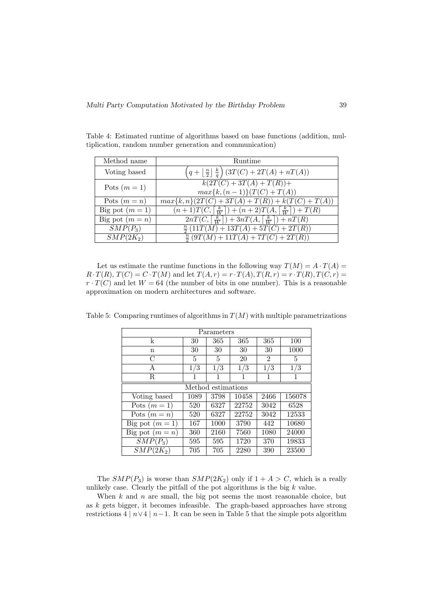| Method name            | <b>Runtime</b>                                                                                 |  |  |  |  |
|------------------------|------------------------------------------------------------------------------------------------|--|--|--|--|
| Voting based           | $\left(q+\left\lfloor\frac{n}{2}\right\rfloor\frac{k}{q}\right)\left(3T(C)+2T(A)+nT(A)\right)$ |  |  |  |  |
| Pots $(m = 1)$         | $k(2T(C) + 3T(A) + T(R)) +$<br>$max\{k,(n-1)\}(T(C) + T(A))$                                   |  |  |  |  |
| Pots $(m = n)$         | $max\{k, n\}(2T(C) + 3T(A) + T(R)) + k(T(C) + T(A))$                                           |  |  |  |  |
| Big pot $(m=1)$        | $(n+1)T(C,\lceil\frac{k}{W}\rceil)+(n+2)T(A,\lceil\frac{k}{W}\rceil)+T(R)$                     |  |  |  |  |
| Big pot $(m = n)$      | $2nT(C, \lceil \frac{k}{W} \rceil) + 3nT(A, \lceil \frac{k}{W} \rceil) + nT(R)$                |  |  |  |  |
| $SMP(P_3)$             | $\frac{n}{2}(11T(M) + 13T(A) + 5T(C) + 2T(R))$                                                 |  |  |  |  |
| $SMP\overline{(2K_2)}$ | $\frac{n}{2}(9T(M) + 11T(A) + 7T(C) + 2T(R))$                                                  |  |  |  |  |

Table 4: Estimated runtime of algorithms based on base functions (addition, multiplication, random number generation and communication)

Let us estimate the runtime functions in the following way  $T(M) = A \cdot T(A) =$  $R \cdot T(R)$ ,  $T(C) = C \cdot T(M)$  and let  $T(A, r) = r \cdot T(A)$ ,  $T(R, r) = r \cdot T(R)$ ,  $T(C, r) =$  $r \cdot T(C)$  and let  $W = 64$  (the number of bits in one number). This is a reasonable approximation on modern architectures and software.

| Parameters         |      |      |       |                |        |  |  |
|--------------------|------|------|-------|----------------|--------|--|--|
| k                  | 30   | 365  | 365   | 365            | 100    |  |  |
| n                  | 30   | 30   | 30    | 30             | 1000   |  |  |
| $\mathcal{C}$      | 5    | 5    | 20    | $\overline{2}$ | 5      |  |  |
| А                  | 1/3  | 1/3  | 1/3   | 1/3            | 1/3    |  |  |
| R                  | 1    | 1    | 1     | 1              |        |  |  |
| Method estimations |      |      |       |                |        |  |  |
| Voting based       | 1089 | 3798 | 10458 | 2466           | 156078 |  |  |
| Pots $(m=1)$       | 520  | 6327 | 22752 | 3042           | 6528   |  |  |
| Pots $(m = n)$     | 520  | 6327 | 22752 | 3042           | 12533  |  |  |
| Big pot $(m = 1)$  | 167  | 1000 | 3790  | 442            | 10680  |  |  |
| Big pot $(m = n)$  | 360  | 2160 | 7560  | 1080           | 24000  |  |  |
| $SMP(P_3)$         | 595  | 595  | 1720  | 370            | 19833  |  |  |
| $SMP(2K_2)$        | 705  | 705  | 2280  | 390            | 23500  |  |  |

Table 5: Comparing runtimes of algorithms in  $T(M)$  with multiple parametrizations

The  $SMP(P_3)$  is worse than  $SMP(2K_2)$  only if  $1 + A > C$ , which is a really unlikely case. Clearly the pitfall of the pot algorithms is the big  $k$  value.

When  $k$  and  $n$  are small, the big pot seems the most reasonable choice, but as  $k$  gets bigger, it becomes infeasible. The graph-based approaches have strong restrictions  $4 | n \vee 4 | n-1$ . It can be seen in Table 5 that the simple pots algorithm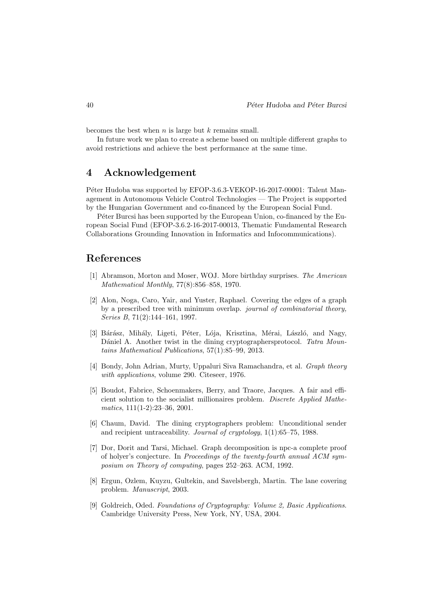becomes the best when  $n$  is large but  $k$  remains small.

In future work we plan to create a scheme based on multiple different graphs to avoid restrictions and achieve the best performance at the same time.

# 4 Acknowledgement

Péter Hudoba was supported by EFOP-3.6.3-VEKOP-16-2017-00001: Talent Management in Autonomous Vehicle Control Technologies — The Project is supported by the Hungarian Government and co-financed by the European Social Fund.

P<sub>eter</sub> Burcsi has been supported by the European Union, co-financed by the European Social Fund (EFOP-3.6.2-16-2017-00013, Thematic Fundamental Research Collaborations Grounding Innovation in Informatics and Infocommunications).

# References

- [1] Abramson, Morton and Moser, WOJ. More birthday surprises. The American Mathematical Monthly, 77(8):856–858, 1970.
- [2] Alon, Noga, Caro, Yair, and Yuster, Raphael. Covering the edges of a graph by a prescribed tree with minimum overlap. journal of combinatorial theory, Series B, 71(2):144–161, 1997.
- [3] Bárász, Mihály, Ligeti, Péter, Lója, Krisztina, Mérai, László, and Nagy, Dániel A. Another twist in the dining cryptographersprotocol. Tatra Mountains Mathematical Publications, 57(1):85–99, 2013.
- [4] Bondy, John Adrian, Murty, Uppaluri Siva Ramachandra, et al. Graph theory with applications, volume 290. Citeseer, 1976.
- [5] Boudot, Fabrice, Schoenmakers, Berry, and Traore, Jacques. A fair and efficient solution to the socialist millionaires problem. Discrete Applied Mathematics, 111(1-2):23–36, 2001.
- [6] Chaum, David. The dining cryptographers problem: Unconditional sender and recipient untraceability. Journal of cryptology, 1(1):65–75, 1988.
- [7] Dor, Dorit and Tarsi, Michael. Graph decomposition is npc-a complete proof of holyer's conjecture. In Proceedings of the twenty-fourth annual ACM symposium on Theory of computing, pages 252–263. ACM, 1992.
- [8] Ergun, Ozlem, Kuyzu, Gultekin, and Savelsbergh, Martin. The lane covering problem. Manuscript, 2003.
- [9] Goldreich, Oded. Foundations of Cryptography: Volume 2, Basic Applications. Cambridge University Press, New York, NY, USA, 2004.